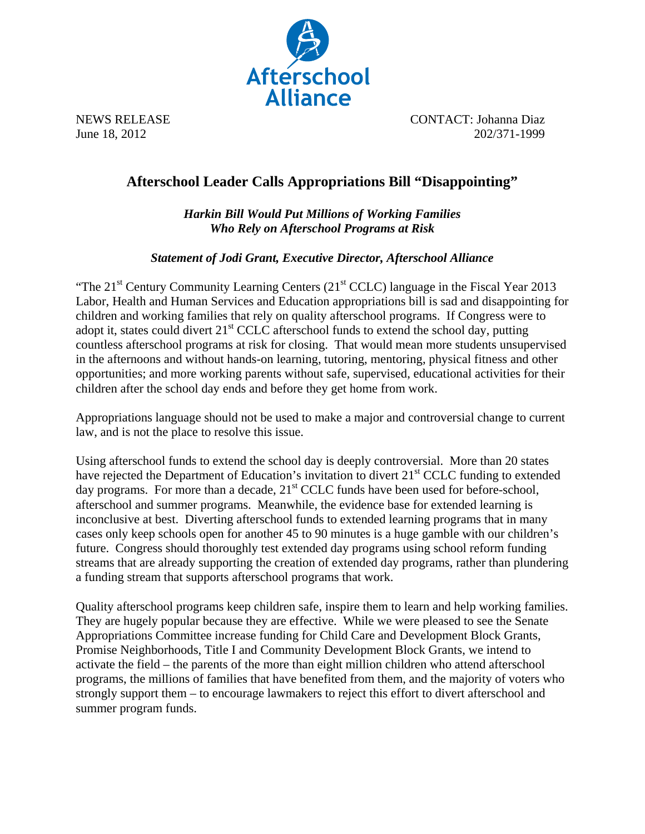

NEWS RELEASE CONTACT: Johanna Diaz June 18, 2012 202/371-1999

## **Afterschool Leader Calls Appropriations Bill "Disappointing"**

*Harkin Bill Would Put Millions of Working Families Who Rely on Afterschool Programs at Risk* 

*Statement of Jodi Grant, Executive Director, Afterschool Alliance* 

"The  $21<sup>st</sup>$  Century Community Learning Centers ( $21<sup>st</sup>$  CCLC) language in the Fiscal Year 2013 Labor, Health and Human Services and Education appropriations bill is sad and disappointing for children and working families that rely on quality afterschool programs. If Congress were to adopt it, states could divert  $21<sup>st</sup> CCLC$  afterschool funds to extend the school day, putting countless afterschool programs at risk for closing. That would mean more students unsupervised in the afternoons and without hands-on learning, tutoring, mentoring, physical fitness and other opportunities; and more working parents without safe, supervised, educational activities for their children after the school day ends and before they get home from work.

Appropriations language should not be used to make a major and controversial change to current law, and is not the place to resolve this issue.

Using afterschool funds to extend the school day is deeply controversial. More than 20 states have rejected the Department of Education's invitation to divert 21<sup>st</sup> CCLC funding to extended day programs. For more than a decade,  $21<sup>st</sup> CCLC$  funds have been used for before-school, afterschool and summer programs. Meanwhile, the evidence base for extended learning is inconclusive at best. Diverting afterschool funds to extended learning programs that in many cases only keep schools open for another 45 to 90 minutes is a huge gamble with our children's future. Congress should thoroughly test extended day programs using school reform funding streams that are already supporting the creation of extended day programs, rather than plundering a funding stream that supports afterschool programs that work.

Quality afterschool programs keep children safe, inspire them to learn and help working families. They are hugely popular because they are effective. While we were pleased to see the Senate Appropriations Committee increase funding for Child Care and Development Block Grants, Promise Neighborhoods, Title I and Community Development Block Grants, we intend to activate the field – the parents of the more than eight million children who attend afterschool programs, the millions of families that have benefited from them, and the majority of voters who strongly support them – to encourage lawmakers to reject this effort to divert afterschool and summer program funds.